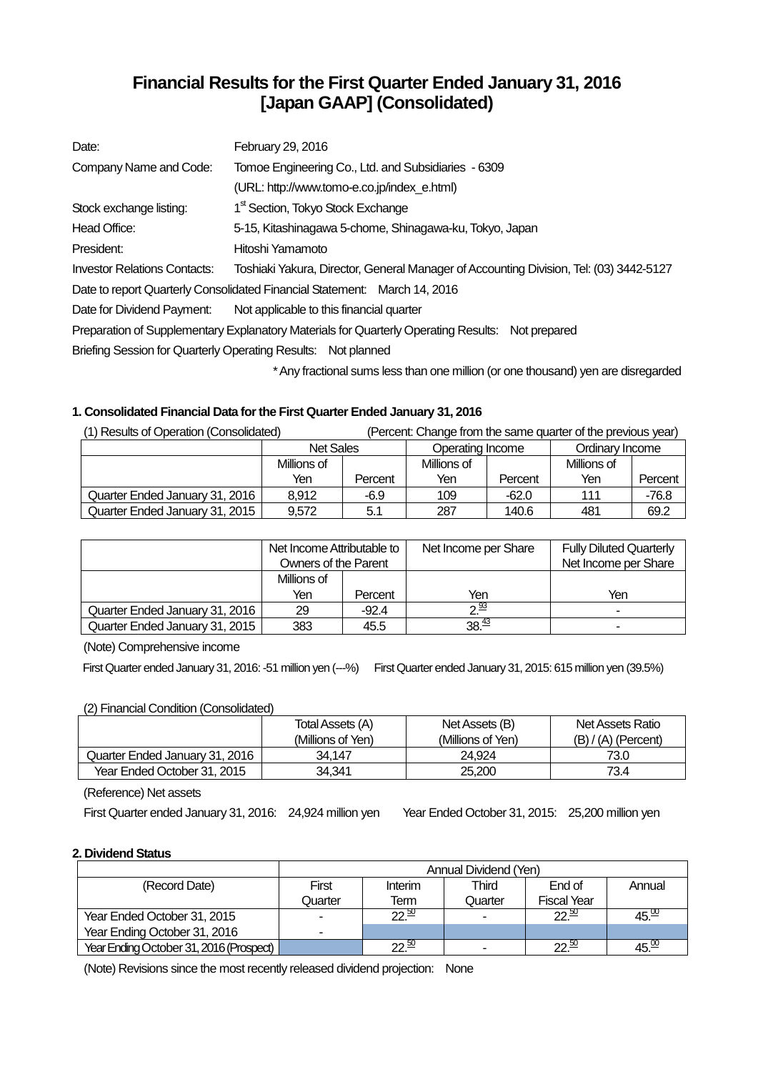# **Financial Results for the First Quarter Ended January 31, 2016 [Japan GAAP] (Consolidated)**

| Date:                               | February 29, 2016                                                                                |
|-------------------------------------|--------------------------------------------------------------------------------------------------|
| Company Name and Code:              | Tomoe Engineering Co., Ltd. and Subsidiaries - 6309                                              |
|                                     | (URL: http://www.tomo-e.co.jp/index e.html)                                                      |
| Stock exchange listing:             | 1 <sup>st</sup> Section, Tokyo Stock Exchange                                                    |
| Head Office:                        | 5-15, Kitashinagawa 5-chome, Shinagawa-ku, Tokyo, Japan                                          |
| President:                          | Hitoshi Yamamoto                                                                                 |
| <b>Investor Relations Contacts:</b> | Toshiaki Yakura, Director, General Manager of Accounting Division, Tel: (03) 3442-5127           |
|                                     | Date to report Quarterly Consolidated Financial Statement: March 14, 2016                        |
| Date for Dividend Payment:          | Not applicable to this financial quarter                                                         |
|                                     | Preparation of Supplementary Explanatory Materials for Quarterly Operating Results: Not prepared |
|                                     | Briefing Session for Quarterly Operating Results: Not planned                                    |
|                                     |                                                                                                  |

Any fractional sums less than one million (or one thousand) yen are disregarded

# **1. Consolidated Financial Data for the First Quarter Ended January 31, 2016**

| (1) Results of Operation (Consolidated) |                  |         | (Percent: Change from the same quarter of the previous year) |         |                 |         |
|-----------------------------------------|------------------|---------|--------------------------------------------------------------|---------|-----------------|---------|
|                                         | <b>Net Sales</b> |         | Operating Income                                             |         | Ordinary Income |         |
|                                         | Millions of      |         | Millions of                                                  |         | Millions of     |         |
|                                         | Yen              | Percent | Yen                                                          | Percent | Yen             | Percent |
| Quarter Ended January 31, 2016          | 8.912            | -6.9    | 109                                                          | $-62.0$ | 111             | -76.8   |
| Quarter Ended January 31, 2015          | 9.572            | 5.1     | 287                                                          | 140.6   | 481             | 69.2    |

|                                | Net Income Attributable to<br>Owners of the Parent |         | Net Income per Share | <b>Fully Diluted Quarterly</b><br>Net Income per Share |
|--------------------------------|----------------------------------------------------|---------|----------------------|--------------------------------------------------------|
|                                | Millions of                                        |         |                      |                                                        |
|                                | Yen                                                | Percent | Yen                  | Yen                                                    |
| Quarter Ended January 31, 2016 | 29                                                 | $-92.4$ | $2^{\frac{93}{2}}$   | ۰                                                      |
| Quarter Ended January 31, 2015 | 383                                                | 45.5    | 38 <sup>43</sup>     | $\overline{\phantom{a}}$                               |

(Note) Comprehensive income

First Quarter ended January 31, 2016: -51 million yen (---%) First Quarter ended January 31, 2015: 615 million yen (39.5%)

# (2) Financial Condition (Consolidated)

| $\sim$                         | Total Assets (A)<br>(Millions of Yen) | Net Assets (B)<br>(Millions of Yen) | Net Assets Ratio<br>$(B) / (A)$ (Percent) |
|--------------------------------|---------------------------------------|-------------------------------------|-------------------------------------------|
| Quarter Ended January 31, 2016 | 34.147                                | 24.924                              | 73.0                                      |
| Year Ended October 31, 2015    | 34.341                                | 25,200                              | 73.4                                      |

(Reference) Net assets

First Quarter ended January 31, 2016: 24,924 million yen Year Ended October 31, 2015: 25,200 million yen

# **2. Dividend Status**

|                                         | Annual Dividend (Yen) |                  |         |                    |                   |
|-----------------------------------------|-----------------------|------------------|---------|--------------------|-------------------|
| (Record Date)                           | First                 | Interim          | Third   | End of             | Annual            |
|                                         | Quarter               | Term             | Quarter | <b>Fiscal Year</b> |                   |
| Year Ended October 31, 2015             |                       | $22\frac{50}{2}$ |         | $22\frac{50}{2}$   | $45\frac{00}{10}$ |
| Year Ending October 31, 2016            | ۰                     |                  |         |                    |                   |
| Year Ending October 31, 2016 (Prospect) |                       | $22\frac{50}{2}$ |         | $22\frac{50}{2}$   | 45. <sup>w</sup>  |

(Note) Revisions since the most recently released dividend projection: None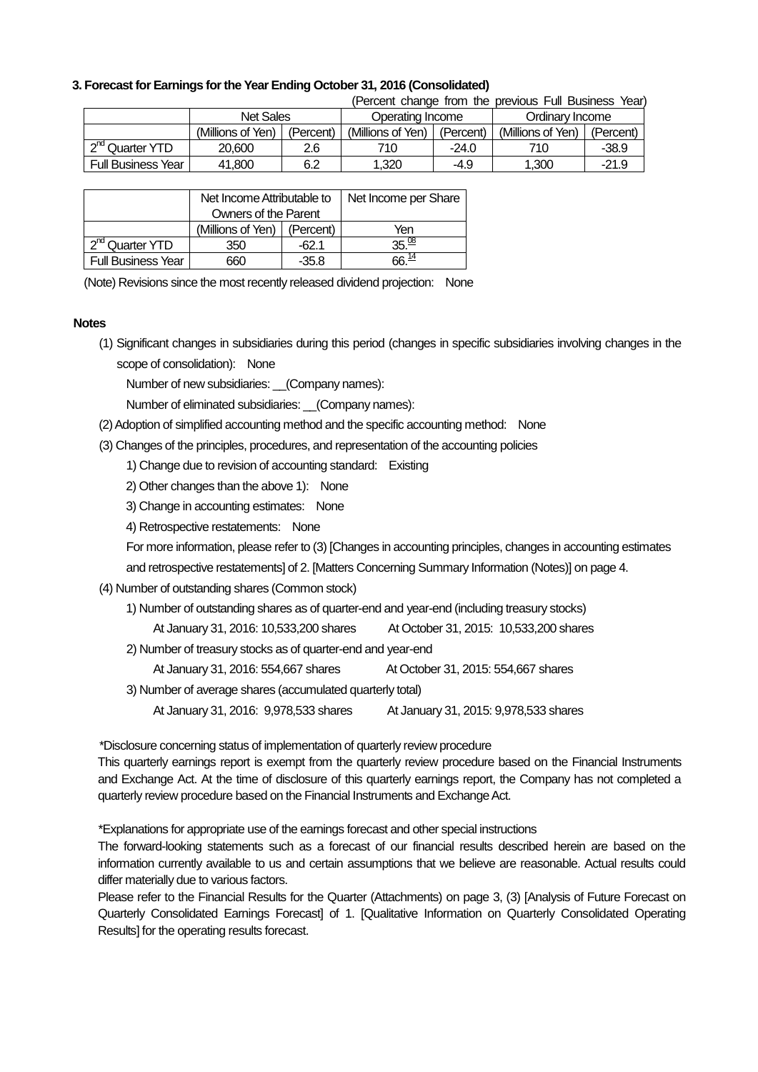## **3. Forecast for Earnings for the Year Ending October 31, 2016 (Consolidated)**

|                             |                   |           |                   |           | (Percent change from the previous Full Business Year) |           |
|-----------------------------|-------------------|-----------|-------------------|-----------|-------------------------------------------------------|-----------|
| <b>Net Sales</b>            |                   |           | Operating Income  |           | Ordinary Income                                       |           |
|                             | (Millions of Yen) | (Percent) | (Millions of Yen) | (Percent) | (Millions of Yen)                                     | (Percent) |
| 2 <sup>nd</sup> Quarter YTD | 20,600            | 2.6       | 710               | $-24.0$   | 710                                                   | $-38.9$   |
| <b>Full Business Year I</b> | 41.800            | 6.2       | 1.320             | $-4.9$    | 1.300                                                 | $-21.9$   |

|                             | Net Income Attributable to |           | Net Income per Share |
|-----------------------------|----------------------------|-----------|----------------------|
|                             | Owners of the Parent       |           |                      |
|                             | (Millions of Yen)          | (Percent) | Yen                  |
| 2 <sup>nd</sup> Quarter YTD | 350                        | -62.1     | 35 $08$              |
| <b>Full Business Year</b>   | 660                        | $-35.8$   |                      |

(Note) Revisions since the most recently released dividend projection: None

### **Notes**

(1) Significant changes in subsidiaries during this period (changes in specific subsidiaries involving changes in the scope of consolidation): None

Number of new subsidiaries: (Company names):

Number of eliminated subsidiaries: \_\_(Company names):

(2) Adoption of simplified accounting method and the specific accounting method: None

(3) Changes of the principles, procedures, and representation of the accounting policies

1) Change due to revision of accounting standard: Existing

- 2) Other changes than the above 1): None
- 3) Change in accounting estimates: None
- 4) Retrospective restatements: None

For more information, please refer to (3) [Changes in accounting principles, changes in accounting estimates

and retrospective restatements] of 2. [Matters Concerning Summary Information (Notes)] on page 4.

(4) Number of outstanding shares (Common stock)

1) Number of outstanding shares as of quarter-end and year-end (including treasury stocks)

At January 31, 2016: 10,533,200 shares At October 31, 2015: 10,533,200 shares

2) Number of treasury stocks as of quarter-end and year-end

At January 31, 2016: 554,667 shares At October 31, 2015: 554,667 shares

3) Number of average shares (accumulated quarterly total)

At January 31, 2016: 9,978,533 shares At January 31, 2015: 9,978,533 shares

\*Disclosure concerning status of implementation of quarterly review procedure

This quarterly earnings report is exempt from the quarterly review procedure based on the Financial Instruments and Exchange Act. At the time of disclosure of this quarterly earnings report, the Company has not completed a quarterly review procedure based on the Financial Instruments and Exchange Act.

\*Explanations for appropriate use of the earnings forecast and other special instructions

The forward-looking statements such as a forecast of our financial results described herein are based on the information currently available to us and certain assumptions that we believe are reasonable. Actual results could differ materially due to various factors.

Please refer to the Financial Results for the Quarter (Attachments) on page 3, (3) [Analysis of Future Forecast on Quarterly Consolidated Earnings Forecast] of 1. [Qualitative Information on Quarterly Consolidated Operating Results] for the operating results forecast.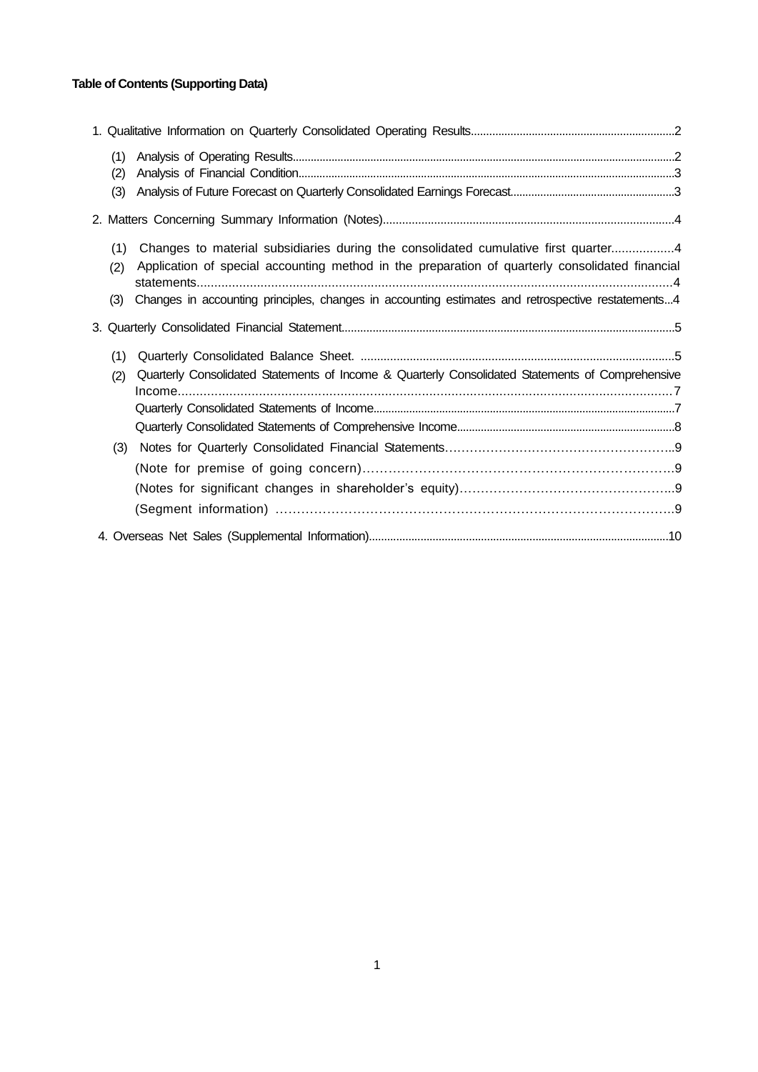# **Table of Contents (Supporting Data)**

| (1) |                                                                                                   |  |
|-----|---------------------------------------------------------------------------------------------------|--|
| (2) |                                                                                                   |  |
| (3) |                                                                                                   |  |
|     |                                                                                                   |  |
| (1) | Changes to material subsidiaries during the consolidated cumulative first quarter4                |  |
| (2) | Application of special accounting method in the preparation of quarterly consolidated financial   |  |
| (3) | Changes in accounting principles, changes in accounting estimates and retrospective restatements4 |  |
|     |                                                                                                   |  |
| (1) |                                                                                                   |  |
| (2) | Quarterly Consolidated Statements of Income & Quarterly Consolidated Statements of Comprehensive  |  |
|     |                                                                                                   |  |
|     |                                                                                                   |  |
|     |                                                                                                   |  |
| (3) |                                                                                                   |  |
|     |                                                                                                   |  |
|     |                                                                                                   |  |
|     |                                                                                                   |  |
|     |                                                                                                   |  |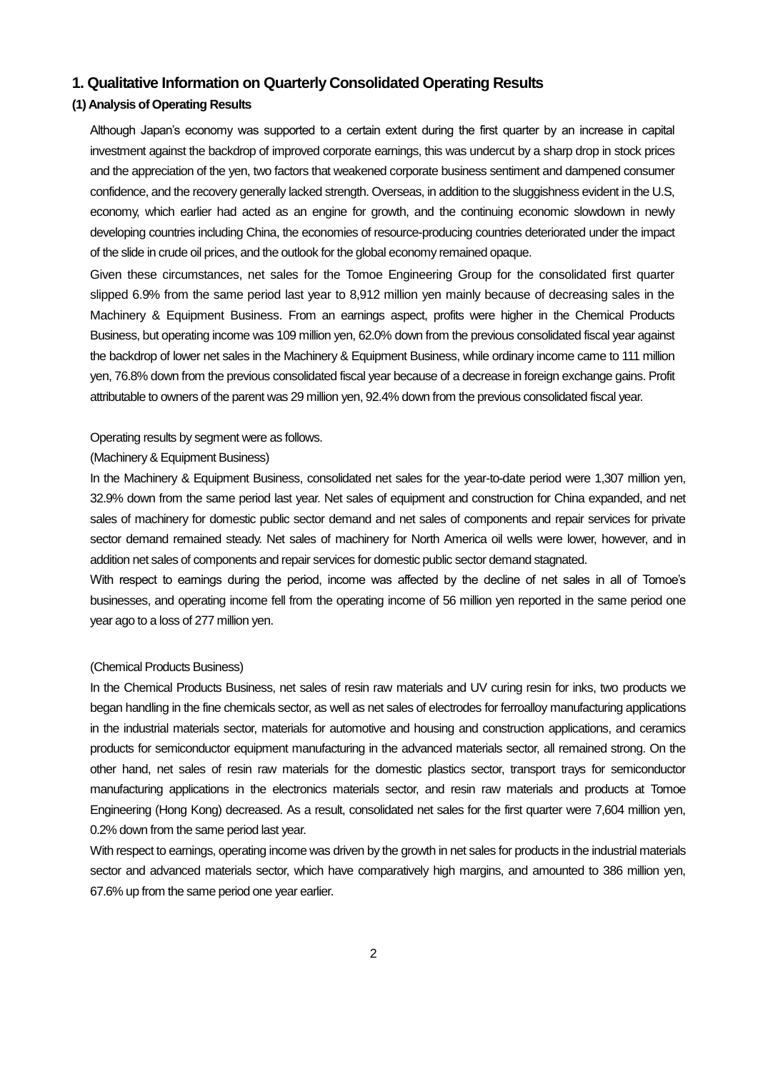# **1. Qualitative Information on Quarterly Consolidated Operating Results**

# **(1) Analysis of Operating Results**

Although Japan's economy was supported to a certain extent during the first quarter by an increase in capital investment against the backdrop of improved corporate earnings, this was undercut by a sharp drop in stock prices and the appreciation of the yen, two factors that weakened corporate business sentiment and dampened consumer confidence, and the recovery generally lacked strength. Overseas, in addition to the sluggishness evident in the U.S, economy, which earlier had acted as an engine for growth, and the continuing economic slowdown in newly developing countries including China, the economies of resource-producing countries deteriorated under the impact of the slide in crude oil prices, and the outlook for the global economy remained opaque.

Given these circumstances, net sales for the Tomoe Engineering Group for the consolidated first quarter slipped 6.9% from the same period last year to 8,912 million yen mainly because of decreasing sales in the Machinery & Equipment Business. From an earnings aspect, profits were higher in the Chemical Products Business, but operating income was 109 million yen, 62.0% down from the previous consolidated fiscal year against the backdrop of lower net sales in the Machinery & Equipment Business, while ordinary income came to 111 million yen, 76.8% down from the previous consolidated fiscal year because of a decrease in foreign exchange gains. Profit attributable to owners of the parent was 29 million yen, 92.4% down from the previous consolidated fiscal year.

### Operating results by segment were as follows.

## (Machinery & Equipment Business)

In the Machinery & Equipment Business, consolidated net sales for the year-to-date period were 1,307 million yen, 32.9% down from the same period last year. Net sales of equipment and construction for China expanded, and net sales of machinery for domestic public sector demand and net sales of components and repair services for private sector demand remained steady. Net sales of machinery for North America oil wells were lower, however, and in addition net sales of components and repair services for domestic public sector demand stagnated.

With respect to earnings during the period, income was affected by the decline of net sales in all of Tomoe's businesses, and operating income fell from the operating income of 56 million yen reported in the same period one year ago to a loss of 277 million yen.

#### (Chemical Products Business)

In the Chemical Products Business, net sales of resin raw materials and UV curing resin for inks, two products we began handling in the fine chemicals sector, as well as net sales of electrodes for ferroalloy manufacturing applications in the industrial materials sector, materials for automotive and housing and construction applications, and ceramics products for semiconductor equipment manufacturing in the advanced materials sector, all remained strong. On the other hand, net sales of resin raw materials for the domestic plastics sector, transport trays for semiconductor manufacturing applications in the electronics materials sector, and resin raw materials and products at Tomoe Engineering (Hong Kong) decreased. As a result, consolidated net sales for the first quarter were 7,604 million yen, 0.2% down from the same period last year.

With respect to earnings, operating income was driven by the growth in net sales for products in the industrial materials sector and advanced materials sector, which have comparatively high margins, and amounted to 386 million yen, 67.6% up from the same period one year earlier.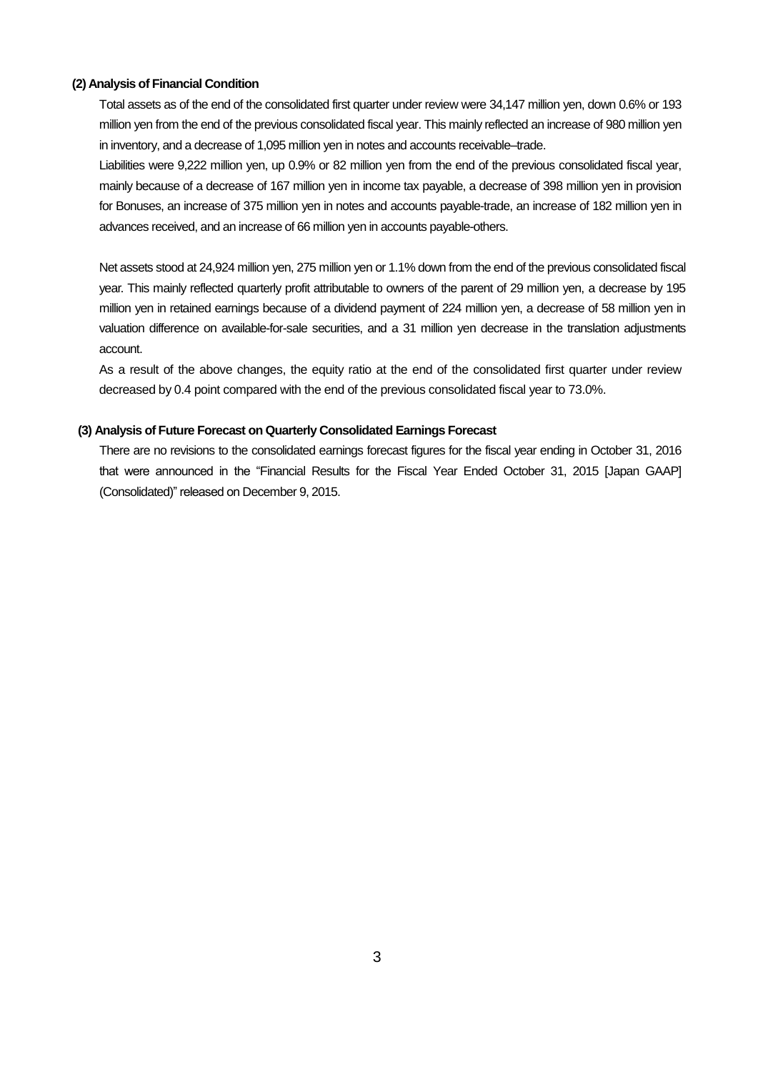### **(2) Analysis of Financial Condition**

Total assets as of the end of the consolidated first quarter under review were 34,147 million yen, down 0.6% or 193 million yen from the end of the previous consolidated fiscal year. This mainly reflected an increase of 980 million yen in inventory, and a decrease of 1,095 million yen in notes and accounts receivable–trade.

Liabilities were 9,222 million yen, up 0.9% or 82 million yen from the end of the previous consolidated fiscal year, mainly because of a decrease of 167 million yen in income tax payable, a decrease of 398 million yen in provision for Bonuses, an increase of 375 million yen in notes and accounts payable-trade, an increase of 182 million yen in advances received, and an increase of 66 million yen in accounts payable-others.

Net assets stood at 24,924 million yen, 275 million yen or 1.1% down from the end of the previous consolidated fiscal year. This mainly reflected quarterly profit attributable to owners of the parent of 29 million yen, a decrease by 195 million yen in retained earnings because of a dividend payment of 224 million yen, a decrease of 58 million yen in valuation difference on available-for-sale securities, and a 31 million yen decrease in the translation adjustments account.

As a result of the above changes, the equity ratio at the end of the consolidated first quarter under review decreased by 0.4 point compared with the end of the previous consolidated fiscal year to 73.0%.

### **(3) Analysis of Future Forecast on Quarterly Consolidated Earnings Forecast**

There are no revisions to the consolidated earnings forecast figures for the fiscal year ending in October 31, 2016 that were announced in the "Financial Results for the Fiscal Year Ended October 31, 2015 [Japan GAAP] (Consolidated)" released on December 9, 2015.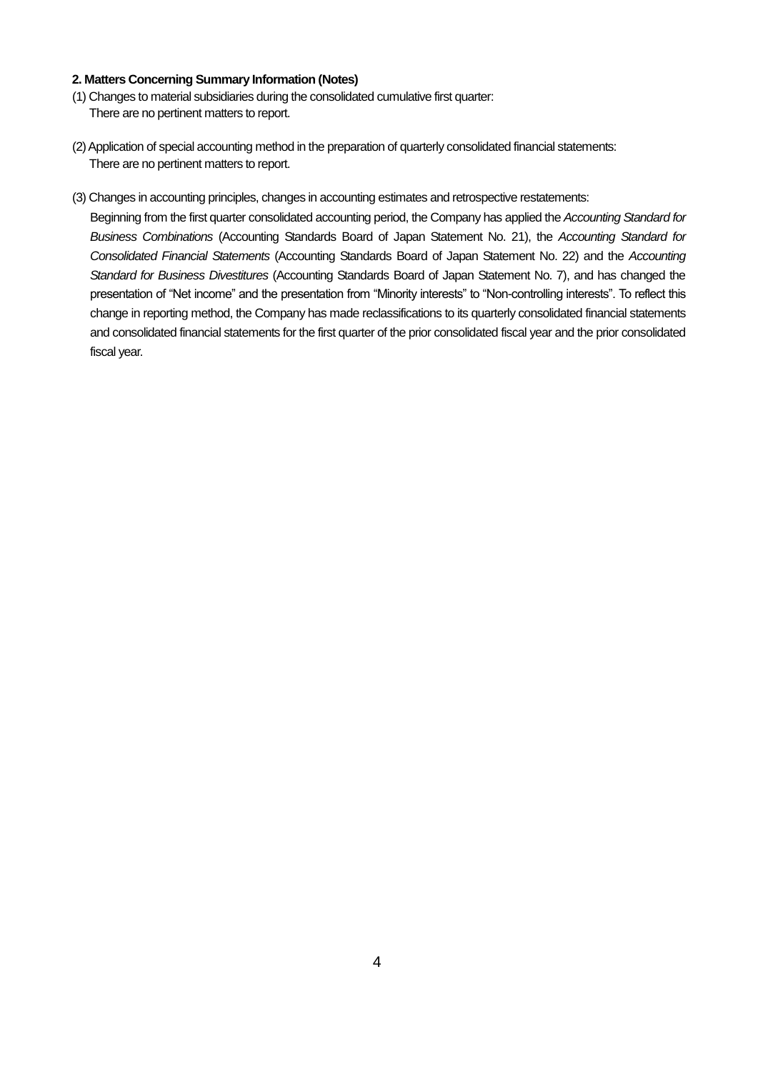## **2. Matters Concerning Summary Information (Notes)**

- (1) Changes to material subsidiaries during the consolidated cumulative first quarter: There are no pertinent matters to report.
- (2) Application of special accounting method in the preparation of quarterly consolidated financial statements: There are no pertinent matters to report.
- (3) Changes in accounting principles, changes in accounting estimates and retrospective restatements:

Beginning from the first quarter consolidated accounting period, the Company has applied the *Accounting Standard for Business Combinations* (Accounting Standards Board of Japan Statement No. 21), the *Accounting Standard for Consolidated Financial Statements* (Accounting Standards Board of Japan Statement No. 22) and the *Accounting Standard for Business Divestitures* (Accounting Standards Board of Japan Statement No. 7), and has changed the presentation of "Net income" and the presentation from "Minority interests" to "Non-controlling interests". To reflect this change in reporting method, the Company has made reclassifications to its quarterly consolidated financial statements and consolidated financial statements for the first quarter of the prior consolidated fiscal year and the prior consolidated fiscal year.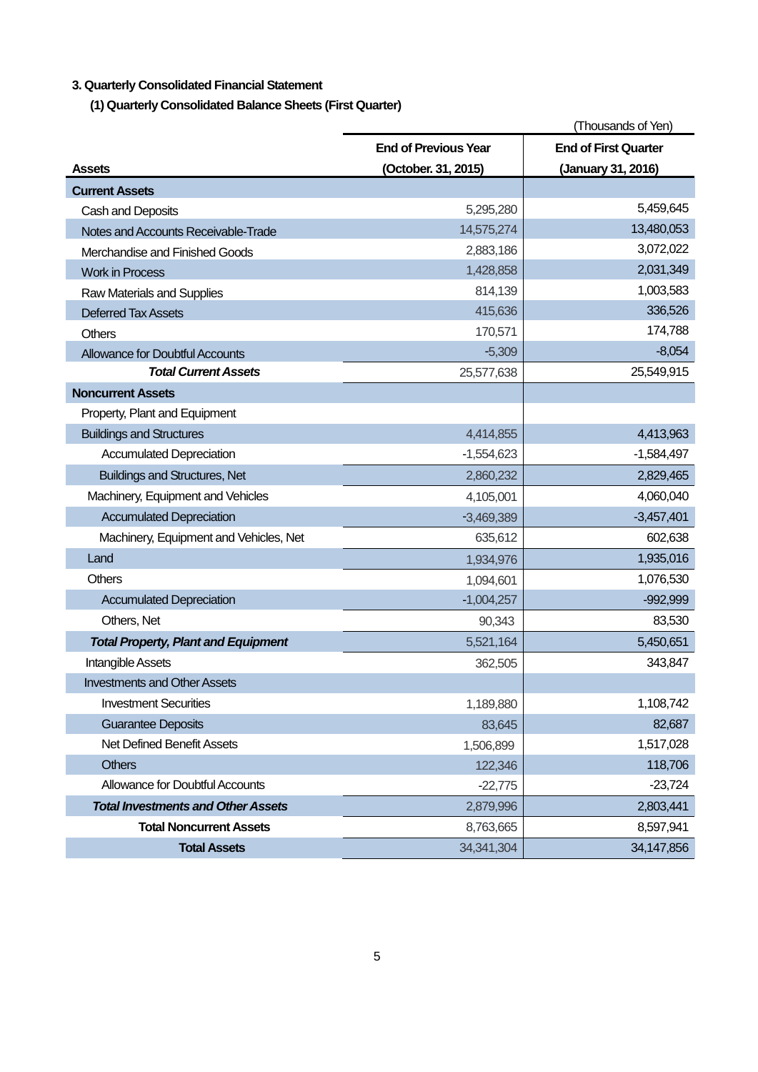# **3. Quarterly Consolidated Financial Statement**

**(1) Quarterly Consolidated Balance Sheets (First Quarter)** 

|                                            |                             | (Thousands of Yen)          |
|--------------------------------------------|-----------------------------|-----------------------------|
|                                            | <b>End of Previous Year</b> | <b>End of First Quarter</b> |
| <b>Assets</b>                              | (October. 31, 2015)         | (January 31, 2016)          |
| <b>Current Assets</b>                      |                             |                             |
| Cash and Deposits                          | 5,295,280                   | 5,459,645                   |
| Notes and Accounts Receivable-Trade        | 14,575,274                  | 13,480,053                  |
| Merchandise and Finished Goods             | 2,883,186                   | 3,072,022                   |
| <b>Work in Process</b>                     | 1,428,858                   | 2,031,349                   |
| Raw Materials and Supplies                 | 814,139                     | 1,003,583                   |
| <b>Deferred Tax Assets</b>                 | 415,636                     | 336,526                     |
| <b>Others</b>                              | 170,571                     | 174,788                     |
| <b>Allowance for Doubtful Accounts</b>     | $-5,309$                    | $-8,054$                    |
| <b>Total Current Assets</b>                | 25,577,638                  | 25,549,915                  |
| <b>Noncurrent Assets</b>                   |                             |                             |
| Property, Plant and Equipment              |                             |                             |
| <b>Buildings and Structures</b>            | 4,414,855                   | 4,413,963                   |
| <b>Accumulated Depreciation</b>            | $-1,554,623$                | $-1,584,497$                |
| <b>Buildings and Structures, Net</b>       | 2,860,232                   | 2,829,465                   |
| Machinery, Equipment and Vehicles          | 4,105,001                   | 4,060,040                   |
| <b>Accumulated Depreciation</b>            | $-3,469,389$                | $-3,457,401$                |
| Machinery, Equipment and Vehicles, Net     | 635,612                     | 602,638                     |
| Land                                       | 1,934,976                   | 1,935,016                   |
| Others                                     | 1,094,601                   | 1,076,530                   |
| <b>Accumulated Depreciation</b>            | $-1,004,257$                | $-992,999$                  |
| Others, Net                                | 90,343                      | 83,530                      |
| <b>Total Property, Plant and Equipment</b> | 5,521,164                   | 5,450,651                   |
| <b>Intangible Assets</b>                   | 362,505                     | 343,847                     |
| <b>Investments and Other Assets</b>        |                             |                             |
| <b>Investment Securities</b>               | 1,189,880                   | 1,108,742                   |
| <b>Guarantee Deposits</b>                  | 83,645                      | 82,687                      |
| Net Defined Benefit Assets                 | 1,506,899                   | 1,517,028                   |
| <b>Others</b>                              | 122,346                     | 118,706                     |
| <b>Allowance for Doubtful Accounts</b>     | $-22,775$                   | $-23,724$                   |
| <b>Total Investments and Other Assets</b>  | 2,879,996                   | 2,803,441                   |
| <b>Total Noncurrent Assets</b>             | 8,763,665                   | 8,597,941                   |
| <b>Total Assets</b>                        | 34, 341, 304                | 34,147,856                  |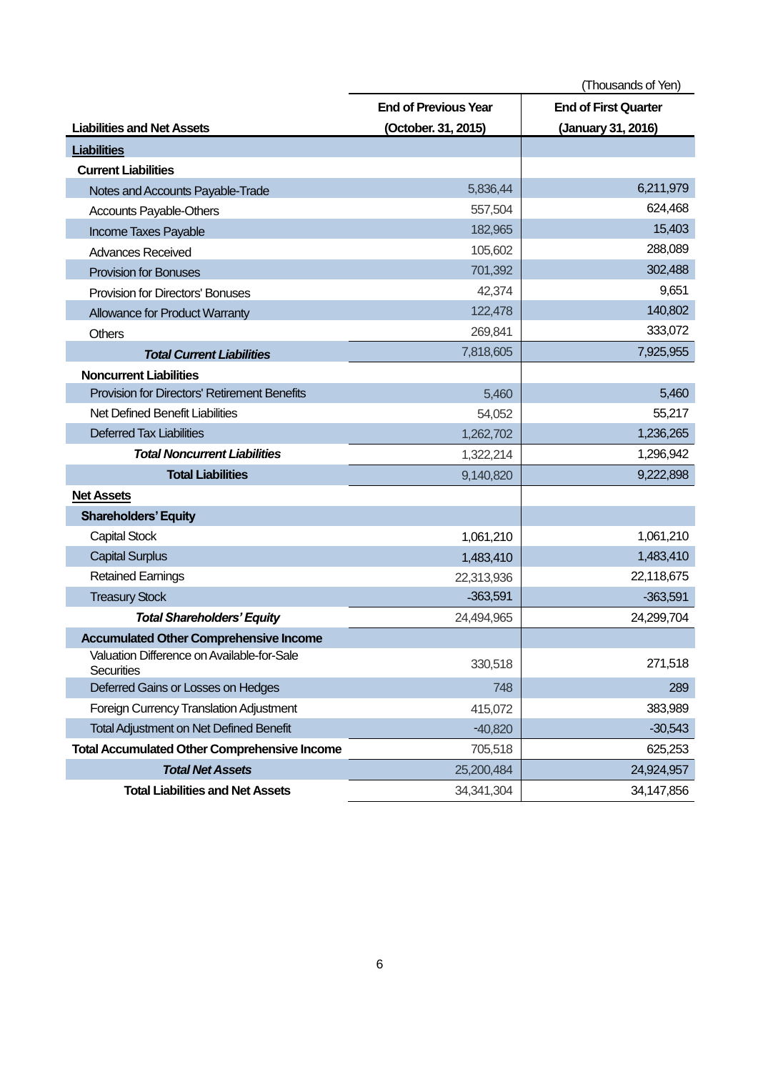|                                                          |                             | (Thousands of Yen)          |
|----------------------------------------------------------|-----------------------------|-----------------------------|
|                                                          | <b>End of Previous Year</b> | <b>End of First Quarter</b> |
| <b>Liabilities and Net Assets</b>                        | (October. 31, 2015)         | (January 31, 2016)          |
| <b>Liabilities</b>                                       |                             |                             |
| <b>Current Liabilities</b>                               |                             |                             |
| Notes and Accounts Payable-Trade                         | 5,836,44                    | 6,211,979                   |
| Accounts Payable-Others                                  | 557,504                     | 624,468                     |
| Income Taxes Payable                                     | 182,965                     | 15,403                      |
| <b>Advances Received</b>                                 | 105,602                     | 288,089                     |
| <b>Provision for Bonuses</b>                             | 701,392                     | 302,488                     |
| <b>Provision for Directors' Bonuses</b>                  | 42,374                      | 9,651                       |
| Allowance for Product Warranty                           | 122,478                     | 140,802                     |
| <b>Others</b>                                            | 269,841                     | 333,072                     |
| <b>Total Current Liabilities</b>                         | 7,818,605                   | 7,925,955                   |
| <b>Noncurrent Liabilities</b>                            |                             |                             |
| <b>Provision for Directors' Retirement Benefits</b>      | 5,460                       | 5,460                       |
| Net Defined Benefit Liabilities                          | 54,052                      | 55,217                      |
| <b>Deferred Tax Liabilities</b>                          | 1,262,702                   | 1,236,265                   |
| <b>Total Noncurrent Liabilities</b>                      | 1,322,214                   | 1,296,942                   |
| <b>Total Liabilities</b>                                 | 9,140,820                   | 9,222,898                   |
| <b>Net Assets</b>                                        |                             |                             |
| <b>Shareholders' Equity</b>                              |                             |                             |
| <b>Capital Stock</b>                                     | 1,061,210                   | 1,061,210                   |
| <b>Capital Surplus</b>                                   | 1,483,410                   | 1,483,410                   |
| <b>Retained Earnings</b>                                 | 22,313,936                  | 22,118,675                  |
| <b>Treasury Stock</b>                                    | $-363,591$                  | $-363,591$                  |
| <b>Total Shareholders' Equity</b>                        | 24,494,965                  | 24,299,704                  |
| <b>Accumulated Other Comprehensive Income</b>            |                             |                             |
| Valuation Difference on Available-for-Sale<br>Securities | 330,518                     | 271,518                     |
| Deferred Gains or Losses on Hedges                       | 748                         | 289                         |
| Foreign Currency Translation Adjustment                  | 415,072                     | 383,989                     |
| Total Adjustment on Net Defined Benefit                  | $-40,820$                   | $-30,543$                   |
| <b>Total Accumulated Other Comprehensive Income</b>      | 705,518                     | 625,253                     |
| <b>Total Net Assets</b>                                  | 25,200,484                  | 24,924,957                  |
| <b>Total Liabilities and Net Assets</b>                  | 34, 341, 304                | 34,147,856                  |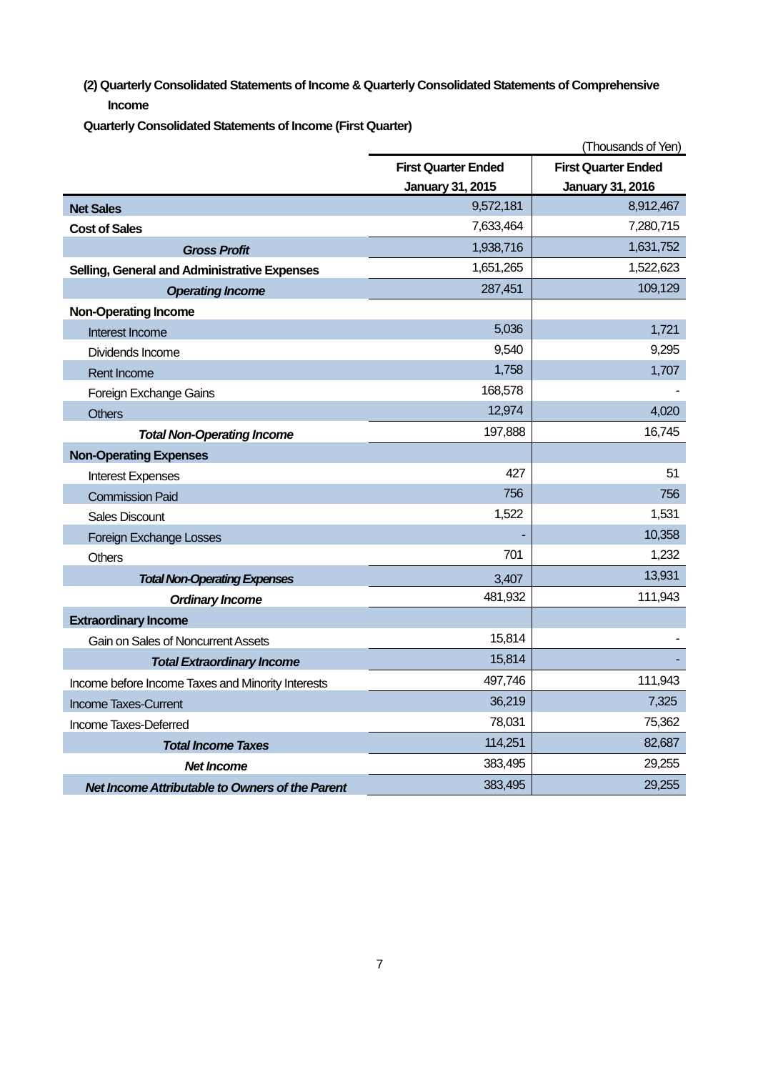**(2) Quarterly Consolidated Statements of Income & Quarterly Consolidated Statements of Comprehensive Income**

**Quarterly Consolidated Statements of Income (First Quarter)** 

|                                                   |                            | (Thousands of Yen)         |
|---------------------------------------------------|----------------------------|----------------------------|
|                                                   | <b>First Quarter Ended</b> | <b>First Quarter Ended</b> |
|                                                   | <b>January 31, 2015</b>    | <b>January 31, 2016</b>    |
| <b>Net Sales</b>                                  | 9,572,181                  | 8,912,467                  |
| <b>Cost of Sales</b>                              | 7,633,464                  | 7,280,715                  |
| <b>Gross Profit</b>                               | 1,938,716                  | 1,631,752                  |
| Selling, General and Administrative Expenses      | 1,651,265                  | 1,522,623                  |
| <b>Operating Income</b>                           | 287,451                    | 109,129                    |
| <b>Non-Operating Income</b>                       |                            |                            |
| Interest Income                                   | 5,036                      | 1,721                      |
| Dividends Income                                  | 9,540                      | 9,295                      |
| Rent Income                                       | 1,758                      | 1,707                      |
| Foreign Exchange Gains                            | 168,578                    |                            |
| <b>Others</b>                                     | 12,974                     | 4,020                      |
| <b>Total Non-Operating Income</b>                 | 197,888                    | 16,745                     |
| <b>Non-Operating Expenses</b>                     |                            |                            |
| <b>Interest Expenses</b>                          | 427                        | 51                         |
| <b>Commission Paid</b>                            | 756                        | 756                        |
| <b>Sales Discount</b>                             | 1,522                      | 1,531                      |
| Foreign Exchange Losses                           |                            | 10,358                     |
| <b>Others</b>                                     | 701                        | 1,232                      |
| <b>Total Non-Operating Expenses</b>               | 3,407                      | 13,931                     |
| <b>Ordinary Income</b>                            | 481,932                    | 111,943                    |
| <b>Extraordinary Income</b>                       |                            |                            |
| Gain on Sales of Noncurrent Assets                | 15,814                     |                            |
| <b>Total Extraordinary Income</b>                 | 15,814                     |                            |
| Income before Income Taxes and Minority Interests | 497,746                    | 111,943                    |
| <b>Income Taxes-Current</b>                       | 36,219                     | 7,325                      |
| Income Taxes-Deferred                             | 78,031                     | 75,362                     |
| <b>Total Income Taxes</b>                         | 114,251                    | 82,687                     |
| <b>Net Income</b>                                 | 383,495                    | 29,255                     |
| Net Income Attributable to Owners of the Parent   | 383,495                    | 29,255                     |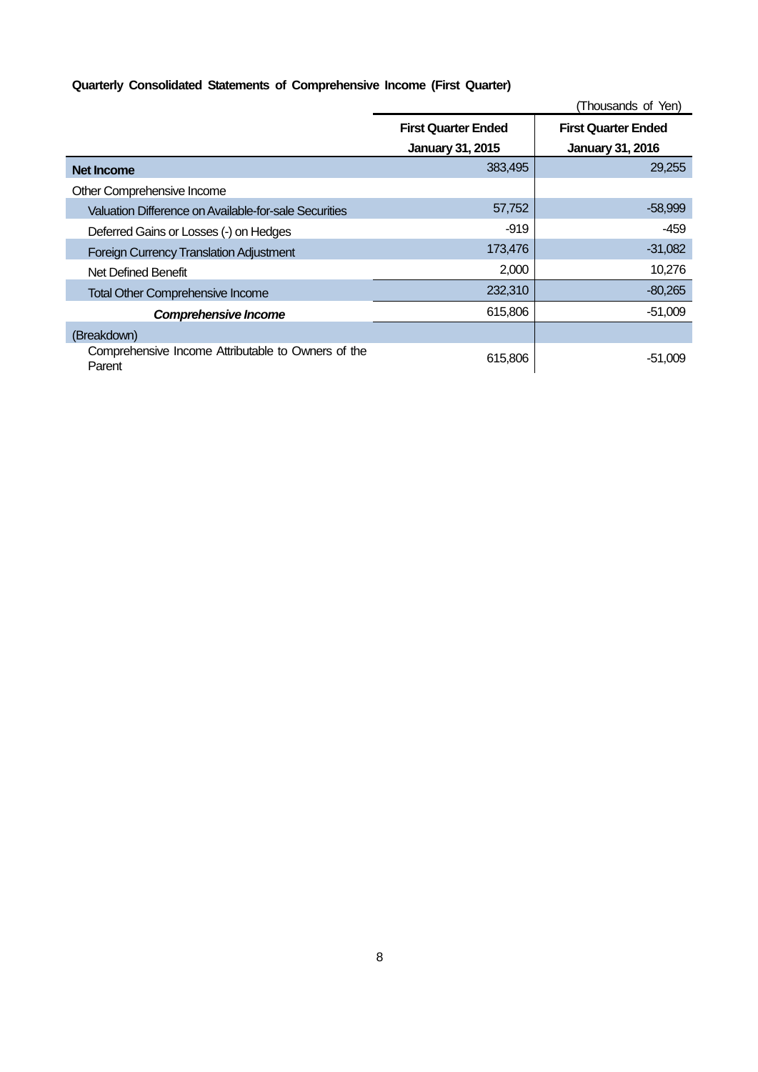# **Quarterly Consolidated Statements of Comprehensive Income (First Quarter)**

|                                                              |                            | (Thousands of Yen)         |
|--------------------------------------------------------------|----------------------------|----------------------------|
|                                                              | <b>First Quarter Ended</b> | <b>First Quarter Ended</b> |
|                                                              | <b>January 31, 2015</b>    | <b>January 31, 2016</b>    |
| Net Income                                                   | 383,495                    | 29,255                     |
| Other Comprehensive Income                                   |                            |                            |
| Valuation Difference on Available-for-sale Securities        | 57,752                     | $-58,999$                  |
| Deferred Gains or Losses (-) on Hedges                       | $-919$                     | -459                       |
| <b>Foreign Currency Translation Adjustment</b>               | 173,476                    | $-31,082$                  |
| Net Defined Benefit                                          | 2,000                      | 10,276                     |
| <b>Total Other Comprehensive Income</b>                      | 232,310                    | $-80,265$                  |
| <b>Comprehensive Income</b>                                  | 615,806                    | $-51,009$                  |
| (Breakdown)                                                  |                            |                            |
| Comprehensive Income Attributable to Owners of the<br>Parent | 615,806                    | -51,009                    |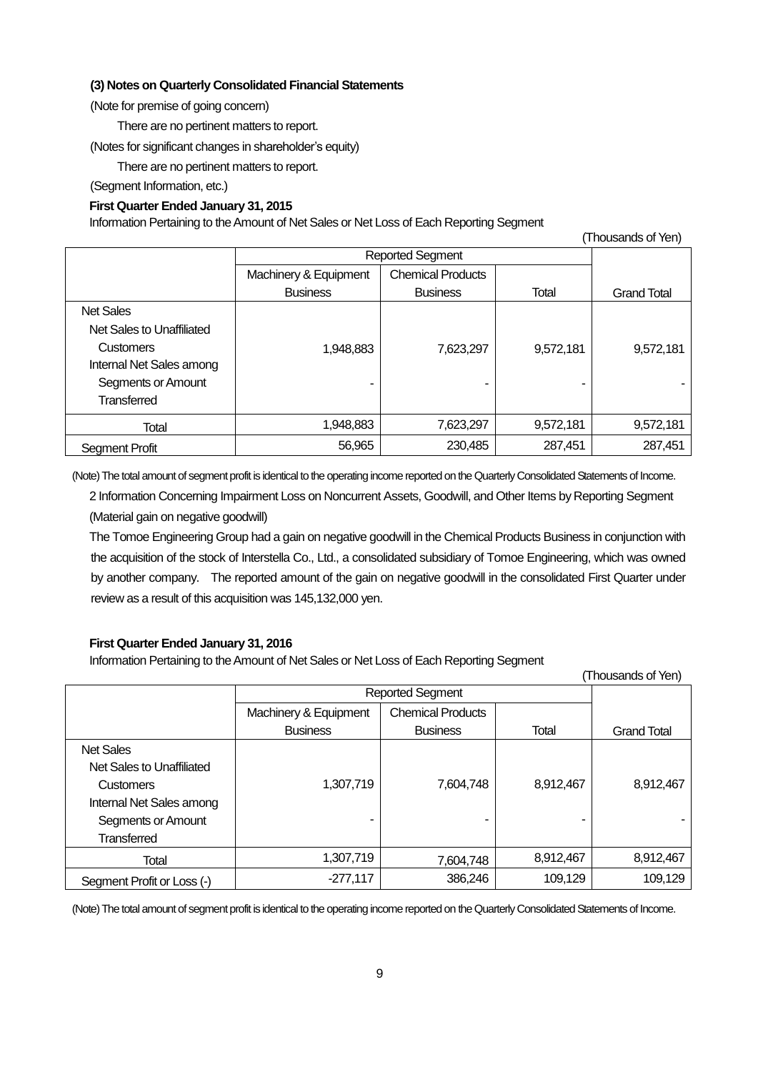## **(3) Notes on Quarterly Consolidated Financial Statements**

(Note for premise of going concern)

There are no pertinent matters to report.

(Notes for significant changes in shareholder's equity)

There are no pertinent matters to report.

(Segment Information, etc.)

## **First Quarter Ended January 31, 2015**

Information Pertaining to the Amount of Net Sales or Net Loss of Each Reporting Segment

| (Thousands of Yen)        |                         |                          |           |                    |
|---------------------------|-------------------------|--------------------------|-----------|--------------------|
|                           | <b>Reported Segment</b> |                          |           |                    |
|                           | Machinery & Equipment   | <b>Chemical Products</b> |           |                    |
|                           | <b>Business</b>         | <b>Business</b>          | Total     | <b>Grand Total</b> |
| <b>Net Sales</b>          |                         |                          |           |                    |
| Net Sales to Unaffiliated |                         |                          |           |                    |
| <b>Customers</b>          | 1,948,883               | 7,623,297                | 9,572,181 | 9,572,181          |
| Internal Net Sales among  |                         |                          |           |                    |
| Segments or Amount        |                         |                          |           |                    |
| <b>Transferred</b>        |                         |                          |           |                    |
| Total                     | 1,948,883               | 7,623,297                | 9,572,181 | 9,572,181          |
| <b>Segment Profit</b>     | 56,965                  | 230,485                  | 287,451   | 287,451            |

(Note) The total amount of segment profit is identical to the operating income reported on the QuarterlyConsolidated Statements of Income.

2 Information Concerning Impairment Loss on Noncurrent Assets, Goodwill, and Other Items by Reporting Segment (Material gain on negative goodwill)

The Tomoe Engineering Group had a gain on negative goodwill in the Chemical Products Business in conjunction with the acquisition of the stock of Interstella Co., Ltd., a consolidated subsidiary of Tomoe Engineering, which was owned by another company. The reported amount of the gain on negative goodwill in the consolidated First Quarter under review as a result of this acquisition was 145,132,000 yen.

# **First Quarter Ended January 31, 2016**

Information Pertaining to the Amount of Net Sales or Net Loss of Each Reporting Segment

| (Thousands of Yen)         |                       |                          |           |                    |
|----------------------------|-----------------------|--------------------------|-----------|--------------------|
|                            | Reported Segment      |                          |           |                    |
|                            | Machinery & Equipment | <b>Chemical Products</b> |           |                    |
|                            | <b>Business</b>       | <b>Business</b>          | Total     | <b>Grand Total</b> |
| <b>Net Sales</b>           |                       |                          |           |                    |
| Net Sales to Unaffiliated  |                       |                          |           |                    |
| <b>Customers</b>           | 1,307,719             | 7.604.748                | 8,912,467 | 8,912,467          |
| Internal Net Sales among   |                       |                          |           |                    |
| Segments or Amount         | ۰                     |                          |           |                    |
| <b>Transferred</b>         |                       |                          |           |                    |
| Total                      | 1,307,719             | 7,604,748                | 8,912,467 | 8,912,467          |
| Segment Profit or Loss (-) | $-277,117$            | 386,246                  | 109,129   | 109,129            |

(Note) The total amount of segment profit is identical to the operating income reported on the QuarterlyConsolidated Statements of Income.